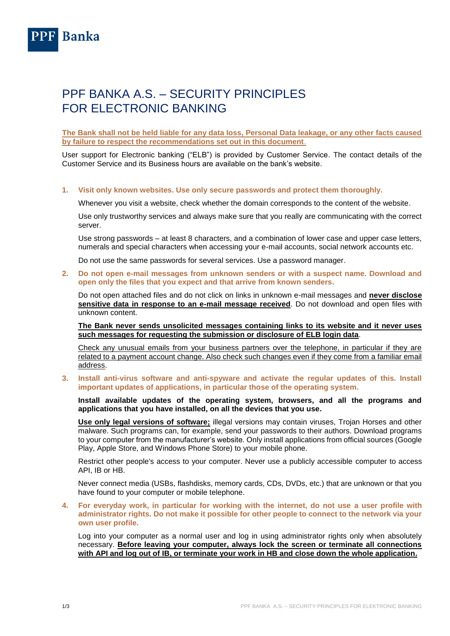

## PPF BANKA A.S. – SECURITY PRINCIPLES FOR ELECTRONIC BANKING

**The Bank shall not be held liable for any data loss, Personal Data leakage, or any other facts caused by failure to respect the recommendations set out in this document**.

User support for Electronic banking ("ELB") is provided by Customer Service. The contact details of the Customer Service and its Business hours are available on the bank's website.

## **1. Visit only known websites. Use only secure passwords and protect them thoroughly.**

Whenever you visit a website, check whether the domain corresponds to the content of the website.

Use only trustworthy services and always make sure that you really are communicating with the correct server.

Use strong passwords – at least 8 characters, and a combination of lower case and upper case letters, numerals and special characters when accessing your e-mail accounts, social network accounts etc.

Do not use the same passwords for several services. Use a password manager.

**2. Do not open e-mail messages from unknown senders or with a suspect name. Download and open only the files that you expect and that arrive from known senders.**

Do not open attached files and do not click on links in unknown e-mail messages and **never disclose sensitive data in response to an e-mail message received**. Do not download and open files with unknown content.

**The Bank never sends unsolicited messages containing links to its website and it never uses such messages for requesting the submission or disclosure of ELB login data**.

Check any unusual emails from your business partners over the telephone, in particular if they are related to a payment account change. Also check such changes even if they come from a familiar email address.

**3. Install anti-virus software and anti-spyware and activate the regular updates of this. Install important updates of applications, in particular those of the operating system.**

**Install available updates of the operating system, browsers, and all the programs and applications that you have installed, on all the devices that you use.**

**Use only legal versions of software;** illegal versions may contain viruses, Trojan Horses and other malware. Such programs can, for example, send your passwords to their authors. Download programs to your computer from the manufacturer's website. Only install applications from official sources (Google Play, Apple Store, and Windows Phone Store) to your mobile phone.

Restrict other people's access to your computer. Never use a publicly accessible computer to access API, IB or HB.

Never connect media (USBs, flashdisks, memory cards, CDs, DVDs, etc.) that are unknown or that you have found to your computer or mobile telephone.

**4. For everyday work, in particular for working with the internet, do not use a user profile with administrator rights. Do not make it possible for other people to connect to the network via your own user profile.**

Log into your computer as a normal user and log in using administrator rights only when absolutely necessary. **Before leaving your computer, always lock the screen or terminate all connections with API and log out of IB, or terminate your work in HB and close down the whole application.**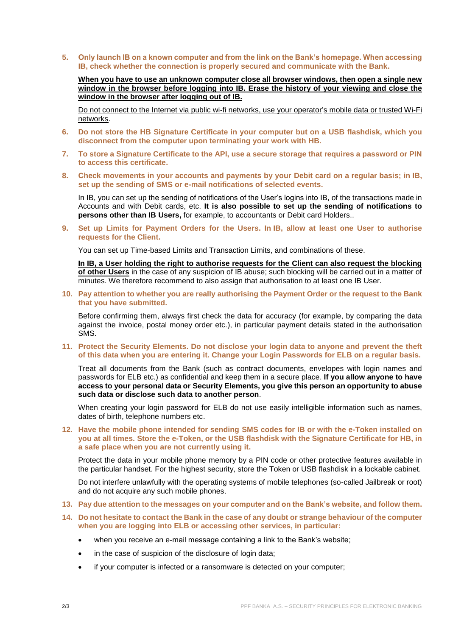**5. Only launch IB on a known computer and from the link on the Bank's homepage. When accessing IB, check whether the connection is properly secured and communicate with the Bank.**

**When you have to use an unknown computer close all browser windows, then open a single new window in the browser before logging into IB. Erase the history of your viewing and close the window in the browser after logging out of IB.**

Do not connect to the Internet via public wi-fi networks, use your operator's mobile data or trusted Wi-Fi networks.

- **6. Do not store the HB Signature Certificate in your computer but on a USB flashdisk, which you disconnect from the computer upon terminating your work with HB.**
- **7. To store a Signature Certificate to the API, use a secure storage that requires a password or PIN to access this certificate.**
- **8. Check movements in your accounts and payments by your Debit card on a regular basis; in IB, set up the sending of SMS or e-mail notifications of selected events.**

In IB, you can set up the sending of notifications of the User's logins into IB, of the transactions made in Accounts and with Debit cards, etc. **It is also possible to set up the sending of notifications to persons other than IB Users,** for example, to accountants or Debit card Holders..

**9. Set up Limits for Payment Orders for the Users. In IB, allow at least one User to authorise requests for the Client.**

You can set up Time-based Limits and Transaction Limits, and combinations of these.

**In IB, a User holding the right to authorise requests for the Client can also request the blocking of other Users** in the case of any suspicion of IB abuse; such blocking will be carried out in a matter of minutes. We therefore recommend to also assign that authorisation to at least one IB User.

**10. Pay attention to whether you are really authorising the Payment Order or the request to the Bank that you have submitted.** 

Before confirming them, always first check the data for accuracy (for example, by comparing the data against the invoice, postal money order etc.), in particular payment details stated in the authorisation SMS.

**11. Protect the Security Elements. Do not disclose your login data to anyone and prevent the theft of this data when you are entering it. Change your Login Passwords for ELB on a regular basis.**

Treat all documents from the Bank (such as contract documents, envelopes with login names and passwords for ELB etc.) as confidential and keep them in a secure place. **If you allow anyone to have access to your personal data or Security Elements, you give this person an opportunity to abuse such data or disclose such data to another person**.

When creating your login password for ELB do not use easily intelligible information such as names, dates of birth, telephone numbers etc.

**12. Have the mobile phone intended for sending SMS codes for IB or with the e-Token installed on you at all times. Store the e-Token, or the USB flashdisk with the Signature Certificate for HB, in a safe place when you are not currently using it.**

Protect the data in your mobile phone memory by a PIN code or other protective features available in the particular handset. For the highest security, store the Token or USB flashdisk in a lockable cabinet.

Do not interfere unlawfully with the operating systems of mobile telephones (so-called Jailbreak or root) and do not acquire any such mobile phones.

- **13. Pay due attention to the messages on your computer and on the Bank's website, and follow them.**
- **14. Do not hesitate to contact the Bank in the case of any doubt or strange behaviour of the computer when you are logging into ELB or accessing other services, in particular:**
	- when you receive an e-mail message containing a link to the Bank's website;
	- in the case of suspicion of the disclosure of login data;
	- if your computer is infected or a ransomware is detected on your computer;